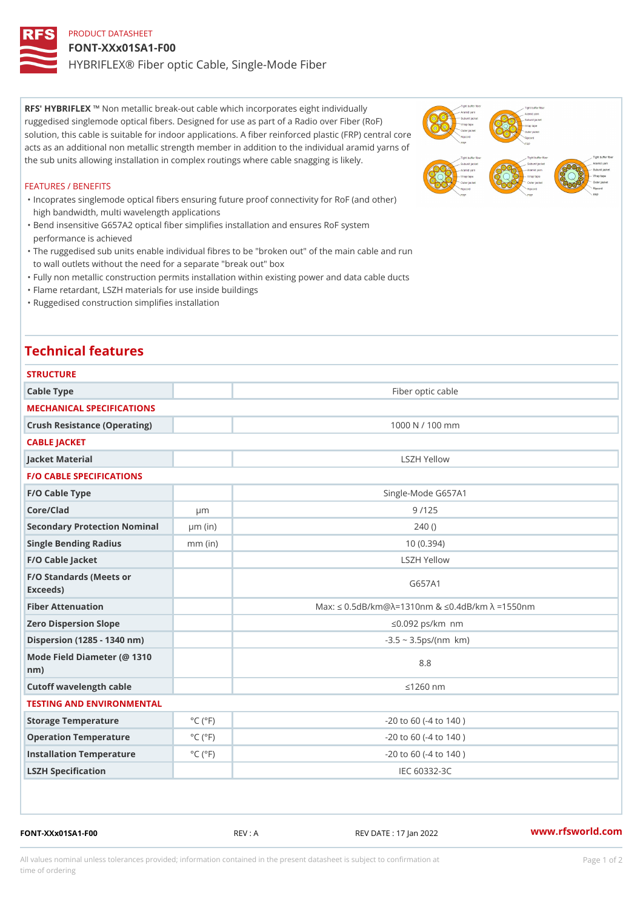## PRODUCT DATASHEET FONT-XXx01SA1-F00 HYBRIFLEX® Fiber optic Cable, Single-Mode Fiber

RFS' HYBRIFNEX ! ' hetallic break-out cable which incorporates eight individually ruggedised singlemode optical fibers. Designed for use as part of a Radio over Fiber (RoF) solution, this cable is suitable for indoor applications. A fiber reinforced plastic (FRP) central core acts as an additional non metallic strength member in addition to the individual aramid yarns of the sub units allowing installation in complex routings where cable snagging is likely.

#### FEATURES / BENEFITS

- "Incoprates singlemode optical fibers ensuring future proof connectivity for RoF (and other) high bandwidth, multi wavelength applications
- Bend insensitive G657A2 optical fiber simplifies installation and ensures RoF system " performance is achieved
- The ruggedised sub units enable individual fibres to be "broken out" of the main cable and run " to wall outlets without the need for a separate "break out" box
- "Fully non metallic construction permits installation within existing power and data cable ducts
- "Flame retardant, LSZH materials for use inside buildings
- "Ruggedised construction simplifies installation

# Technical features

| <b>STRUCTURE</b>                                 |                             |                                                          |  |  |
|--------------------------------------------------|-----------------------------|----------------------------------------------------------|--|--|
| Cable Type                                       |                             | Fiber optic cable                                        |  |  |
| MECHANICAL SPECIFICATIONS                        |                             |                                                          |  |  |
| Crush Resistance (Operating)                     |                             | 1000 N / 100 mm                                          |  |  |
| CABLE JACKET                                     |                             |                                                          |  |  |
| Jacket Material                                  |                             | LSZH Yellow                                              |  |  |
| <b>F/O CABLE SPECIFICATIONS</b>                  |                             |                                                          |  |  |
| F/O Cable Type                                   |                             | Single-Mode G657A1                                       |  |  |
| Core/Clad                                        | $\mu$ m                     | 9/125                                                    |  |  |
| Secondary Protection Nomumal(in)                 |                             | 240()                                                    |  |  |
| Single Bending Radius                            | $mm$ (in)                   | 10(0.394)                                                |  |  |
| F/O Cable Jacket                                 |                             | LSZH Yellow                                              |  |  |
| F/O Standards (Meets or<br>Exceeds)              |                             | G657A1                                                   |  |  |
| Fiber Attenuation                                |                             | Max: "d $0.5$ dB/km @ » = 1310nm & "d0.4dB/km » = 1550nm |  |  |
| Zero Dispersion Slope                            |                             | "d0.092 ps/km§•nm                                        |  |  |
| Dispersion (1285 - 1340 nm)                      |                             | $-3.5 - 3.5 ps/(n m\$ *km)                               |  |  |
| Mode Field Diameter (@ 1310<br>$n \, \text{m}$ ) |                             | 8.8                                                      |  |  |
| Cutoff wavelength cable                          |                             | "d1260 nm                                                |  |  |
| TESTING AND ENVIRONMENTAL                        |                             |                                                          |  |  |
| Storage Temperature                              | $^{\circ}$ C ( $^{\circ}$ F | $-20$ to 60 ( $-4$ to 140)                               |  |  |
| Operation Temperature                            | $^{\circ}$ C ( $^{\circ}$ F | $-20$ to 60 ( $-4$ to 140)                               |  |  |
| Installation Temperature                         | $^{\circ}$ C ( $^{\circ}$ F | $-20$ to 60 ( $-4$ to 140)                               |  |  |
| LSZH Specification                               |                             | IEC 60332-3C                                             |  |  |

FONT-XXx01SA1-F00 REV : A REV DATE : 17 Jan 2022 [www.](https://www.rfsworld.com)rfsworld.com